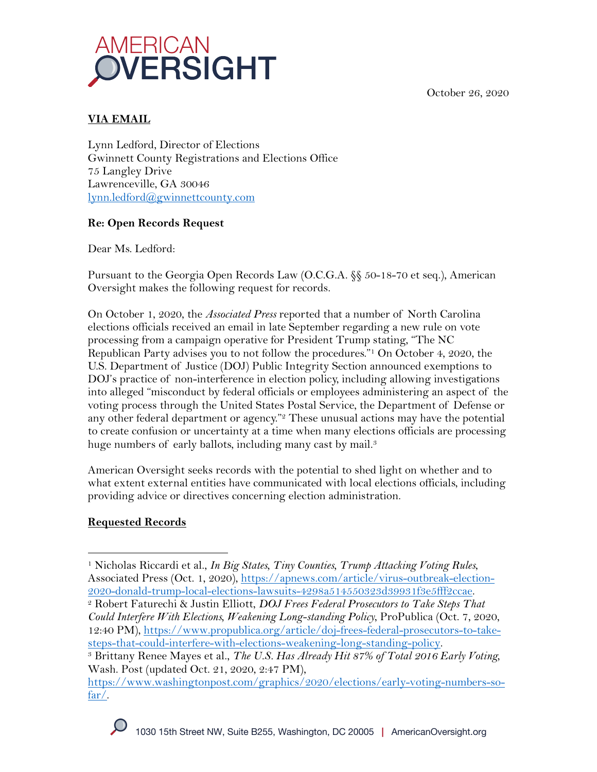October 26, 2020



## **VIA EMAIL**

Lynn Ledford, Director of Elections Gwinnett County Registrations and Elections Office 75 Langley Drive Lawrenceville, GA 30046 lynn.ledford@gwinnettcounty.com

## **Re: Open Records Request**

Dear Ms. Ledford:

Pursuant to the Georgia Open Records Law (O.C.G.A. §§ 50-18-70 et seq.), American Oversight makes the following request for records.

On October 1, 2020, the *Associated Press* reported that a number of North Carolina elections officials received an email in late September regarding a new rule on vote processing from a campaign operative for President Trump stating, "The NC Republican Party advises you to not follow the procedures."1 On October 4, 2020, the U.S. Department of Justice (DOJ) Public Integrity Section announced exemptions to DOJ's practice of non-interference in election policy, including allowing investigations into alleged "misconduct by federal officials or employees administering an aspect of the voting process through the United States Postal Service, the Department of Defense or any other federal department or agency."<sup>2</sup> These unusual actions may have the potential to create confusion or uncertainty at a time when many elections officials are processing huge numbers of early ballots, including many cast by mail.<sup>3</sup>

American Oversight seeks records with the potential to shed light on whether and to what extent external entities have communicated with local elections officials, including providing advice or directives concerning election administration.

## **Requested Records**

<sup>1</sup> Nicholas Riccardi et al., *In Big States, Tiny Counties, Trump Attacking Voting Rules*, Associated Press (Oct. 1, 2020), https://apnews.com/article/virus-outbreak-election-2020-donald-trump-local-elections-lawsuits-4298a514550323d39931f3e5fff2ccae.

<sup>2</sup> Robert Faturechi & Justin Elliott, *DOJ Frees Federal Prosecutors to Take Steps That Could Interfere With Elections, Weakening Long-standing Policy*, ProPublica (Oct. 7, 2020, 12:40 PM), https://www.propublica.org/article/doj-frees-federal-prosecutors-to-takesteps-that-could-interfere-with-elections-weakening-long-standing-policy.

<sup>3</sup> Brittany Renee Mayes et al., *The U.S. Has Already Hit 87% of Total 2016 Early Voting,*  Wash. Post (updated Oct. 21, 2020, 2:47 PM),

https://www.washingtonpost.com/graphics/2020/elections/early-voting-numbers-sofar/.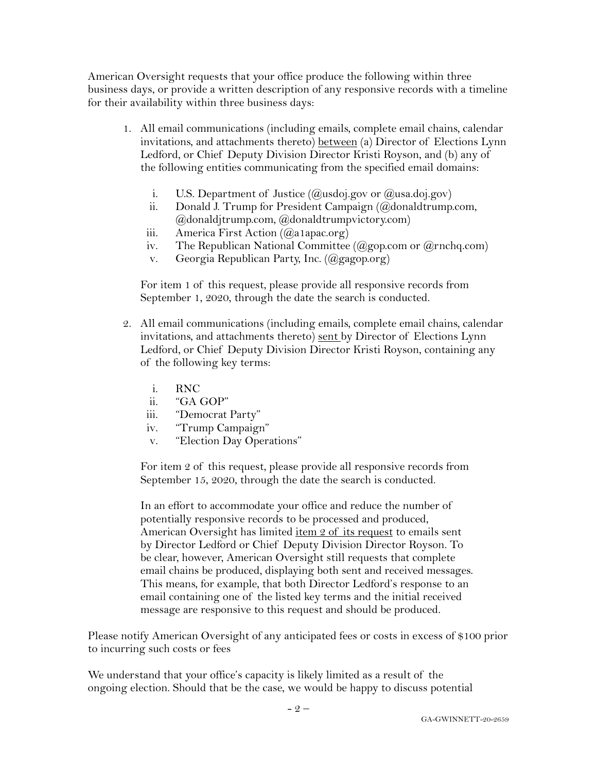American Oversight requests that your office produce the following within three business days, or provide a written description of any responsive records with a timeline for their availability within three business days:

- 1. All email communications (including emails, complete email chains, calendar invitations, and attachments thereto) between (a) Director of Elections Lynn Ledford, or Chief Deputy Division Director Kristi Royson, and (b) any of the following entities communicating from the specified email domains:
	- i. U.S. Department of Justice  $(Qus \text{doi.gov})$  or  $(Qus \text{a.doj.gov})$
	- ii. Donald J. Trump for President Campaign (@donaldtrump.com, @donaldjtrump.com, @donaldtrumpvictory.com)
	- iii. America First Action (@a1apac.org)
	- iv. The Republican National Committee  $(Qgop.com or Qrnchq.com)$
	- v. Georgia Republican Party, Inc. (@gagop.org)

For item 1 of this request, please provide all responsive records from September 1, 2020, through the date the search is conducted.

- 2. All email communications (including emails, complete email chains, calendar invitations, and attachments thereto) sent by Director of Elections Lynn Ledford, or Chief Deputy Division Director Kristi Royson, containing any of the following key terms:
	- i. RNC
	- ii. "GA GOP"
	- iii. "Democrat Party"
	- iv. "Trump Campaign"
	- v. "Election Day Operations"

For item 2 of this request, please provide all responsive records from September 15, 2020, through the date the search is conducted.

In an effort to accommodate your office and reduce the number of potentially responsive records to be processed and produced, American Oversight has limited item 2 of its request to emails sent by Director Ledford or Chief Deputy Division Director Royson. To be clear, however, American Oversight still requests that complete email chains be produced, displaying both sent and received messages. This means, for example, that both Director Ledford's response to an email containing one of the listed key terms and the initial received message are responsive to this request and should be produced.

Please notify American Oversight of any anticipated fees or costs in excess of \$100 prior to incurring such costs or fees

We understand that your office's capacity is likely limited as a result of the ongoing election. Should that be the case, we would be happy to discuss potential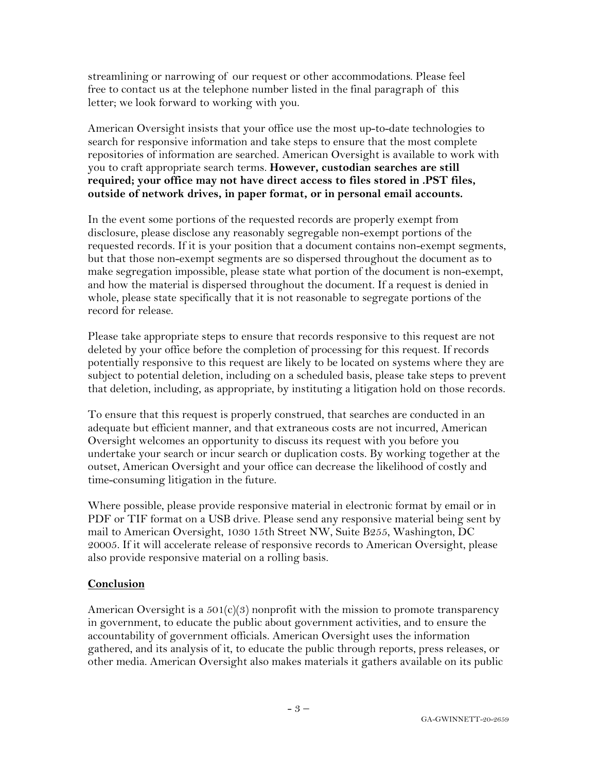streamlining or narrowing of our request or other accommodations. Please feel free to contact us at the telephone number listed in the final paragraph of this letter; we look forward to working with you.

American Oversight insists that your office use the most up-to-date technologies to search for responsive information and take steps to ensure that the most complete repositories of information are searched. American Oversight is available to work with you to craft appropriate search terms. **However, custodian searches are still required; your office may not have direct access to files stored in .PST files, outside of network drives, in paper format, or in personal email accounts.**

In the event some portions of the requested records are properly exempt from disclosure, please disclose any reasonably segregable non-exempt portions of the requested records. If it is your position that a document contains non-exempt segments, but that those non-exempt segments are so dispersed throughout the document as to make segregation impossible, please state what portion of the document is non-exempt, and how the material is dispersed throughout the document. If a request is denied in whole, please state specifically that it is not reasonable to segregate portions of the record for release.

Please take appropriate steps to ensure that records responsive to this request are not deleted by your office before the completion of processing for this request. If records potentially responsive to this request are likely to be located on systems where they are subject to potential deletion, including on a scheduled basis, please take steps to prevent that deletion, including, as appropriate, by instituting a litigation hold on those records.

To ensure that this request is properly construed, that searches are conducted in an adequate but efficient manner, and that extraneous costs are not incurred, American Oversight welcomes an opportunity to discuss its request with you before you undertake your search or incur search or duplication costs. By working together at the outset, American Oversight and your office can decrease the likelihood of costly and time-consuming litigation in the future.

Where possible, please provide responsive material in electronic format by email or in PDF or TIF format on a USB drive. Please send any responsive material being sent by mail to American Oversight, 1030 15th Street NW, Suite B255, Washington, DC 20005. If it will accelerate release of responsive records to American Oversight, please also provide responsive material on a rolling basis.

## **Conclusion**

American Oversight is a  $501(c)(3)$  nonprofit with the mission to promote transparency in government, to educate the public about government activities, and to ensure the accountability of government officials. American Oversight uses the information gathered, and its analysis of it, to educate the public through reports, press releases, or other media. American Oversight also makes materials it gathers available on its public